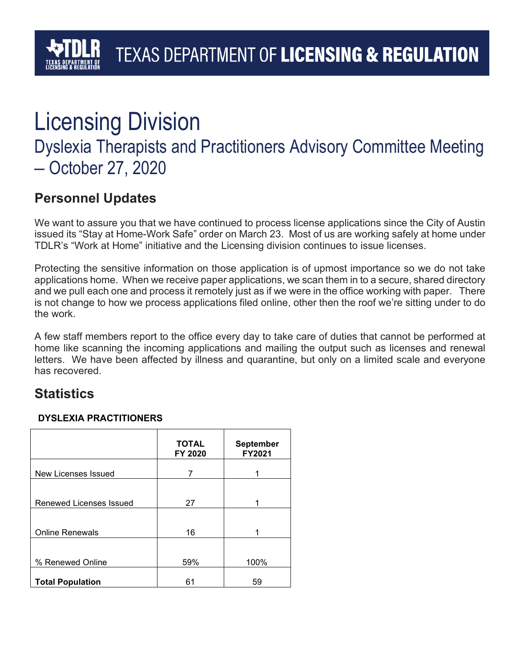# Licensing Division

### Dyslexia Therapists and Practitioners Advisory Committee Meeting – October 27, 2020

### **Personnel Updates**

We want to assure you that we have continued to process license applications since the City of Austin issued its "Stay at Home-Work Safe" order on March 23. Most of us are working safely at home under TDLR's "Work at Home" initiative and the Licensing division continues to issue licenses.

Protecting the sensitive information on those application is of upmost importance so we do not take applications home. When we receive paper applications, we scan them in to a secure, shared directory and we pull each one and process it remotely just as if we were in the office working with paper. There is not change to how we process applications filed online, other then the roof we're sitting under to do the work.

A few staff members report to the office every day to take care of duties that cannot be performed at home like scanning the incoming applications and mailing the output such as licenses and renewal letters. We have been affected by illness and quarantine, but only on a limited scale and everyone has recovered.

### **Statistics**

#### **DYSLEXIA PRACTITIONERS**

|                         | <b>TOTAL</b><br>FY 2020 | <b>September</b><br>FY2021 |
|-------------------------|-------------------------|----------------------------|
| New Licenses Issued     | 7                       |                            |
|                         |                         |                            |
| Renewed Licenses Issued | 27                      |                            |
| <b>Online Renewals</b>  | 16                      |                            |
|                         |                         |                            |
| % Renewed Online        | 59%                     | 100%                       |
| <b>Total Population</b> | 61                      | 59                         |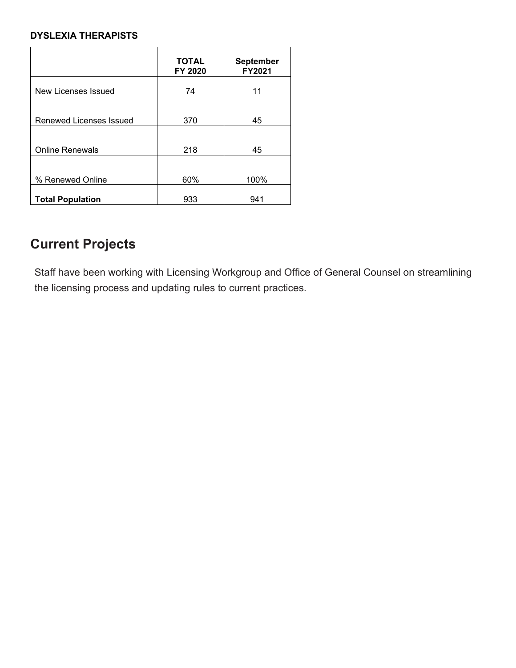#### **DYSLEXIA THERAPISTS**

| <b>TOTAL</b><br>FY 2020 | <b>September</b><br>FY2021 |
|-------------------------|----------------------------|
| 74                      | 11                         |
|                         |                            |
| 370                     | 45                         |
| 218                     | 45                         |
|                         | 100%                       |
|                         | 941                        |
|                         | 60%<br>933                 |

### **Current Projects**

Staff have been working with Licensing Workgroup and Office of General Counsel on streamlining the licensing process and updating rules to current practices.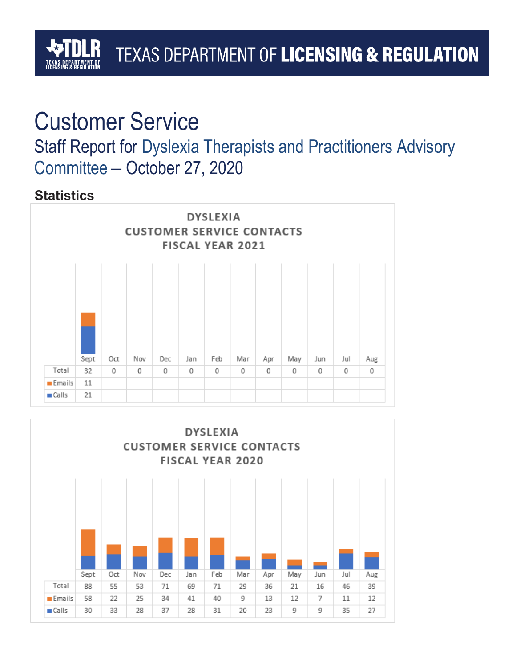# TEXAS DEPARTMENT OF LICENSING & REGULATION

## Customer Service

Staff Report for Dyslexia Therapists and Practitioners Advisory Committee – October 27, 2020

### **Statistics**



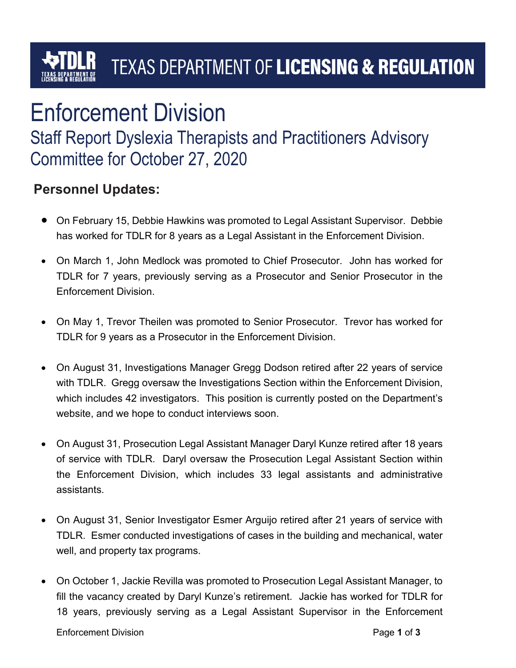## TEXAS DEPARTMENT OF LICENSING & REGULATION

# Enforcement Division

### Staff Report Dyslexia Therapists and Practitioners Advisory Committee for October 27, 2020

### **Personnel Updates:**

- On February 15, Debbie Hawkins was promoted to Legal Assistant Supervisor. Debbie has worked for TDLR for 8 years as a Legal Assistant in the Enforcement Division.
- On March 1, John Medlock was promoted to Chief Prosecutor. John has worked for TDLR for 7 years, previously serving as a Prosecutor and Senior Prosecutor in the Enforcement Division.
- On May 1, Trevor Theilen was promoted to Senior Prosecutor. Trevor has worked for TDLR for 9 years as a Prosecutor in the Enforcement Division.
- On August 31, Investigations Manager Gregg Dodson retired after 22 years of service with TDLR. Gregg oversaw the Investigations Section within the Enforcement Division, which includes 42 investigators. This position is currently posted on the Department's website, and we hope to conduct interviews soon.
- On August 31, Prosecution Legal Assistant Manager Daryl Kunze retired after 18 years of service with TDLR. Daryl oversaw the Prosecution Legal Assistant Section within the Enforcement Division, which includes 33 legal assistants and administrative assistants.
- On August 31, Senior Investigator Esmer Arguijo retired after 21 years of service with TDLR. Esmer conducted investigations of cases in the building and mechanical, water well, and property tax programs.
- On October 1, Jackie Revilla was promoted to Prosecution Legal Assistant Manager, to fill the vacancy created by Daryl Kunze's retirement. Jackie has worked for TDLR for 18 years, previously serving as a Legal Assistant Supervisor in the Enforcement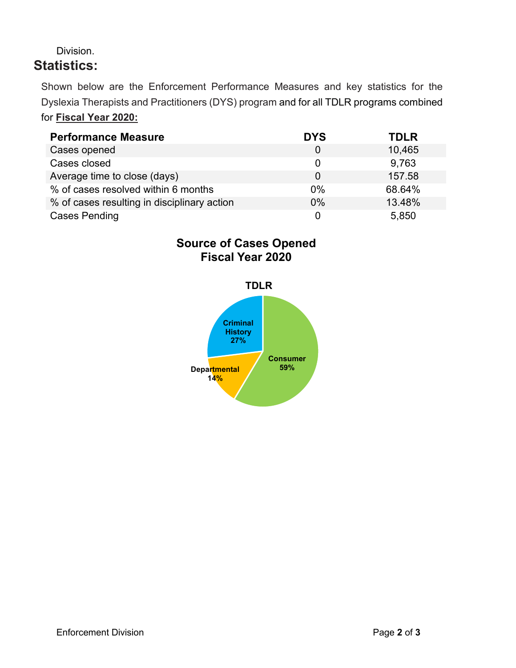#### Division. **Statistics:**

Shown below are the Enforcement Performance Measures and key statistics for the Dyslexia Therapists and Practitioners (DYS) program and for all TDLR programs combined for **Fiscal Year 2020:**

| <b>Performance Measure</b>                  | <b>DYS</b> | <b>TDLR</b> |
|---------------------------------------------|------------|-------------|
| Cases opened                                |            | 10,465      |
| Cases closed                                |            | 9,763       |
| Average time to close (days)                | $\Omega$   | 157.58      |
| % of cases resolved within 6 months         | 0%         | 68.64%      |
| % of cases resulting in disciplinary action | $0\%$      | 13.48%      |
| <b>Cases Pending</b>                        |            | 5,850       |

#### **Source of Cases Opened Fiscal Year 2020**

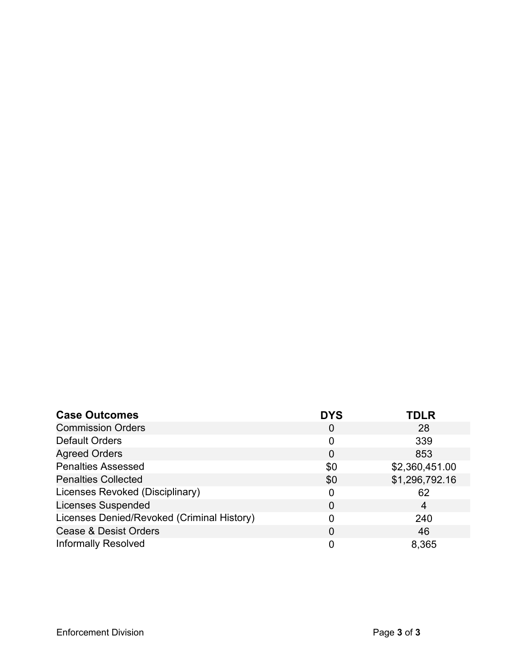| <b>Case Outcomes</b>                       | <b>DYS</b> | <b>TDLR</b>    |
|--------------------------------------------|------------|----------------|
| <b>Commission Orders</b>                   | 0          | 28             |
| <b>Default Orders</b>                      | 0          | 339            |
| <b>Agreed Orders</b>                       | 0          | 853            |
| <b>Penalties Assessed</b>                  | \$0        | \$2,360,451.00 |
| <b>Penalties Collected</b>                 | \$0        | \$1,296,792.16 |
| Licenses Revoked (Disciplinary)            | 0          | 62             |
| <b>Licenses Suspended</b>                  | 0          | 4              |
| Licenses Denied/Revoked (Criminal History) | 0          | 240            |
| <b>Cease &amp; Desist Orders</b>           | 0          | 46             |
| <b>Informally Resolved</b>                 | 0          | 8,365          |